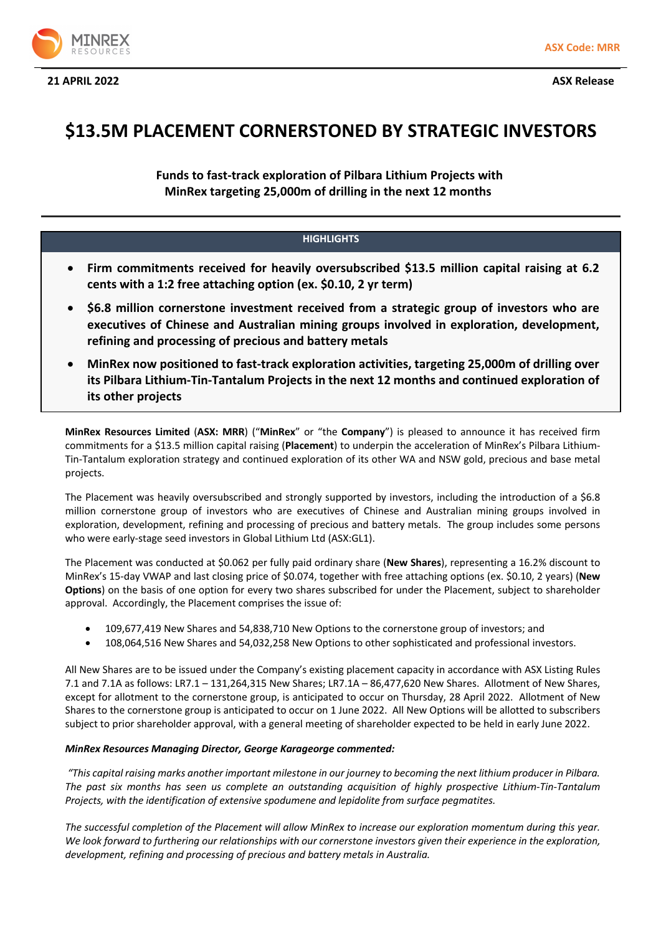



# **\$13.5M PLACEMENT CORNERSTONED BY STRATEGIC INVESTORS**

**Funds to fast-track exploration of Pilbara Lithium Projects with MinRex targeting 25,000m of drilling in the next 12 months** 

# **HIGHLIGHTS**

- **Firm commitments received for heavily oversubscribed \$13.5 million capital raising at 6.2 cents with a 1:2 free attaching option (ex. \$0.10, 2 yr term)**
- **\$6.8 million cornerstone investment received from a strategic group of investors who are executives of Chinese and Australian mining groups involved in exploration, development, refining and processing of precious and battery metals**
- **MinRex now positioned to fast-track exploration activities, targeting 25,000m of drilling over its Pilbara Lithium-Tin-Tantalum Projects in the next 12 months and continued exploration of its other projects**

**MinRex Resources Limited** (**ASX: MRR**) ("**MinRex**" or "the **Company**") is pleased to announce it has received firm commitments for a \$13.5 million capital raising (**Placement**) to underpin the acceleration of MinRex's Pilbara Lithium-Tin-Tantalum exploration strategy and continued exploration of its other WA and NSW gold, precious and base metal projects.

The Placement was heavily oversubscribed and strongly supported by investors, including the introduction of a \$6.8 million cornerstone group of investors who are executives of Chinese and Australian mining groups involved in exploration, development, refining and processing of precious and battery metals. The group includes some persons who were early-stage seed investors in Global Lithium Ltd (ASX:GL1).

The Placement was conducted at \$0.062 per fully paid ordinary share (**New Shares**), representing a 16.2% discount to MinRex's 15-day VWAP and last closing price of \$0.074, together with free attaching options (ex. \$0.10, 2 years) (**New Options**) on the basis of one option for every two shares subscribed for under the Placement, subject to shareholder approval. Accordingly, the Placement comprises the issue of:

- 109,677,419 New Shares and 54,838,710 New Options to the cornerstone group of investors; and
- 108,064,516 New Shares and 54,032,258 New Options to other sophisticated and professional investors.

All New Shares are to be issued under the Company's existing placement capacity in accordance with ASX Listing Rules 7.1 and 7.1A as follows: LR7.1 – 131,264,315 New Shares; LR7.1A – 86,477,620 New Shares. Allotment of New Shares, except for allotment to the cornerstone group, is anticipated to occur on Thursday, 28 April 2022. Allotment of New Shares to the cornerstone group is anticipated to occur on 1 June 2022. All New Options will be allotted to subscribers subject to prior shareholder approval, with a general meeting of shareholder expected to be held in early June 2022.

## *MinRex Resources Managing Director, George Karageorge commented:*

*"This capital raising marks another important milestone in our journey to becoming the next lithium producer in Pilbara. The past six months has seen us complete an outstanding acquisition of highly prospective Lithium-Tin-Tantalum Projects, with the identification of extensive spodumene and lepidolite from surface pegmatites.* 

*The successful completion of the Placement will allow MinRex to increase our exploration momentum during this year.*  We look forward to furthering our relationships with our cornerstone investors given their experience in the exploration, *development, refining and processing of precious and battery metals in Australia.*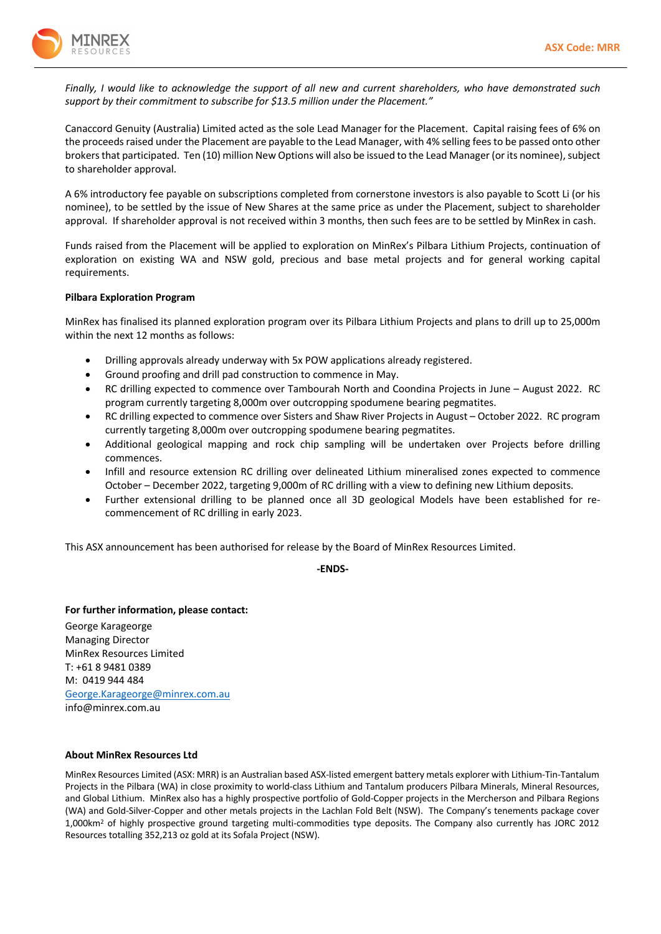

*Finally, I would like to acknowledge the support of all new and current shareholders, who have demonstrated such support by their commitment to subscribe for \$13.5 million under the Placement."*

Canaccord Genuity (Australia) Limited acted as the sole Lead Manager for the Placement. Capital raising fees of 6% on the proceeds raised under the Placement are payable to the Lead Manager, with 4% selling fees to be passed onto other brokers that participated. Ten (10) million New Options will also be issued to the Lead Manager (or its nominee), subject to shareholder approval.

A 6% introductory fee payable on subscriptions completed from cornerstone investors is also payable to Scott Li (or his nominee), to be settled by the issue of New Shares at the same price as under the Placement, subject to shareholder approval. If shareholder approval is not received within 3 months, then such fees are to be settled by MinRex in cash.

Funds raised from the Placement will be applied to exploration on MinRex's Pilbara Lithium Projects, continuation of exploration on existing WA and NSW gold, precious and base metal projects and for general working capital requirements.

#### **Pilbara Exploration Program**

MinRex has finalised its planned exploration program over its Pilbara Lithium Projects and plans to drill up to 25,000m within the next 12 months as follows:

- Drilling approvals already underway with 5x POW applications already registered.
- Ground proofing and drill pad construction to commence in May.
- RC drilling expected to commence over Tambourah North and Coondina Projects in June August 2022. RC program currently targeting 8,000m over outcropping spodumene bearing pegmatites.
- RC drilling expected to commence over Sisters and Shaw River Projects in August October 2022. RC program currently targeting 8,000m over outcropping spodumene bearing pegmatites.
- Additional geological mapping and rock chip sampling will be undertaken over Projects before drilling commences.
- Infill and resource extension RC drilling over delineated Lithium mineralised zones expected to commence October – December 2022, targeting 9,000m of RC drilling with a view to defining new Lithium deposits.
- Further extensional drilling to be planned once all 3D geological Models have been established for recommencement of RC drilling in early 2023.

This ASX announcement has been authorised for release by the Board of MinRex Resources Limited.

**-ENDS-**

**For further information, please contact:** George Karageorge

Managing Director MinRex Resources Limited T: +61 8 9481 0389 M: 0419 944 484 George.Karageorge@minrex.com.au info@minrex.com.au

## **About MinRex Resources Ltd**

MinRex Resources Limited (ASX: MRR) is an Australian based ASX-listed emergent battery metals explorer with Lithium-Tin-Tantalum Projects in the Pilbara (WA) in close proximity to world-class Lithium and Tantalum producers Pilbara Minerals, Mineral Resources, and Global Lithium. MinRex also has a highly prospective portfolio of Gold-Copper projects in the Mercherson and Pilbara Regions (WA) and Gold-Silver-Copper and other metals projects in the Lachlan Fold Belt (NSW). The Company's tenements package cover 1,000km2 of highly prospective ground targeting multi-commodities type deposits. The Company also currently has JORC 2012 Resources totalling 352,213 oz gold at its Sofala Project (NSW).